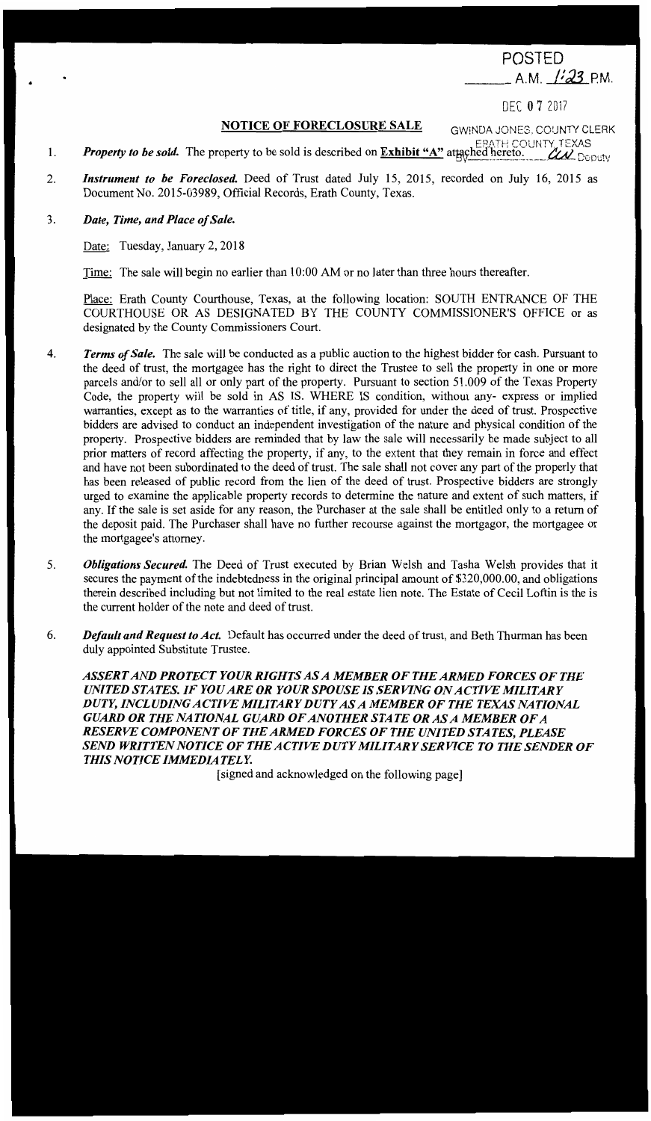POSTED \_\_ A.M. /f *J.3* PM .

DEC O 7 2017

GWiNDA JONES. COUNTY CLERK

## **NOTICE OF FORECLOSURE SALE**

- 1. *Property to be sold.* The property to be sold is described on **Exhibit "A"** attached hereto. *CLA\_Denuty*
- 2. *Instrument to be Foreclosed*. Deed of Trust dated July 15, 2015, recorded on July 16, 2015 as Document No. 2015-03989, Official Records, Erath County, Texas.

## 3. *Date, Time, and Place of Sale.*

•

Date: Tuesday, January 2, 2018

Time: The sale will begin no earlier than 10:00 AM or no later than three hours thereafter.

Place: Erath County Courthouse, Texas, at the following location: SOUTH ENTRANCE OF THE COURTHOUSE OR AS DESIGNATED BY THE COUNTY COMMISSIONER'S OFFICE or as designated by the County Commissioners Court.

- 4. *Terms of Sale.* The sale will be conducted as a public auction to the highest bidder for cash. Pursuant to the deed of trust, the mortgagee has the right to direct the Trustee to sell the property in one or more parcels and/or to sell all or only part of the property. Pursuant to section 51.009 of the Texas Property Code, the property will be sold in AS IS. WHERE IS condition, without any- express or implied warranties, except as to the warranties of title, if any, provided for under the deed of trust. Prospective bidders are advised to conduct an independent investigation of the nature and physical condition of the property. Prospective bidders are reminded that by law the sale will necessarily be made subject to all prior matters of record affecting the property, if any, to the extent that they remain in force and effect and have not been subordinated to the deed of trust. The sale shall not cover any part of the properly that has been released of public record from the lien of the deed of trust. Prospective bidders are strongly urged to examine the applicable property records to determine the nature and extent of such matters, if any. If the sale is set aside for any reason, the Purchaser at the sale shall be entitled only to a return of the deposit paid. The Purchaser shall have no further recourse against the mortgagor, the mortgagee or the mortgagee's attorney.
- 5. *Obligations Secured.* The Deed of Trust executed by Brian Welsh and Tasha Welsh provides that it secures the payment of the indebtedness in the original principal amount of \$320,000.00, and obligations therein described including but not limited to the real estate lien note. The Estate of Cecil Loftin is the is the current holder of the note and deed of trust.
- 6. *Default and Request to Act.* Default has occurred under the deed of trust, and Beth Thurman has been duly appointed Substitute Trustee.

*ASSERT AND PROTECT YOUR RIGHTS AS A MEMBER OF THE ARMED FORCES OF THE UNITED STATES. IF YOU ARE OR YOUR SPOUSE IS SERVING ON ACTIVE MILITARY DUTY, INCLUDING ACTIVE MILITARY DUTY AS A MEMBER OF THE TEXAS NATIONAL GUARD OR THE NATIONAL GUARD OF ANOTHER STATE OR AS A MEMBER OF A RESERVE COMPONENT OF THE ARMED FORCES OF THE UNITED STATES, PLEASE*  SEND WRITTEN NOTICE OF THE ACTIVE DUTY MILITARY SERVICE TO THE SENDER OF *THIS NOTICE IMMEDIATELY.* 

[ signed and acknowledged on the following page]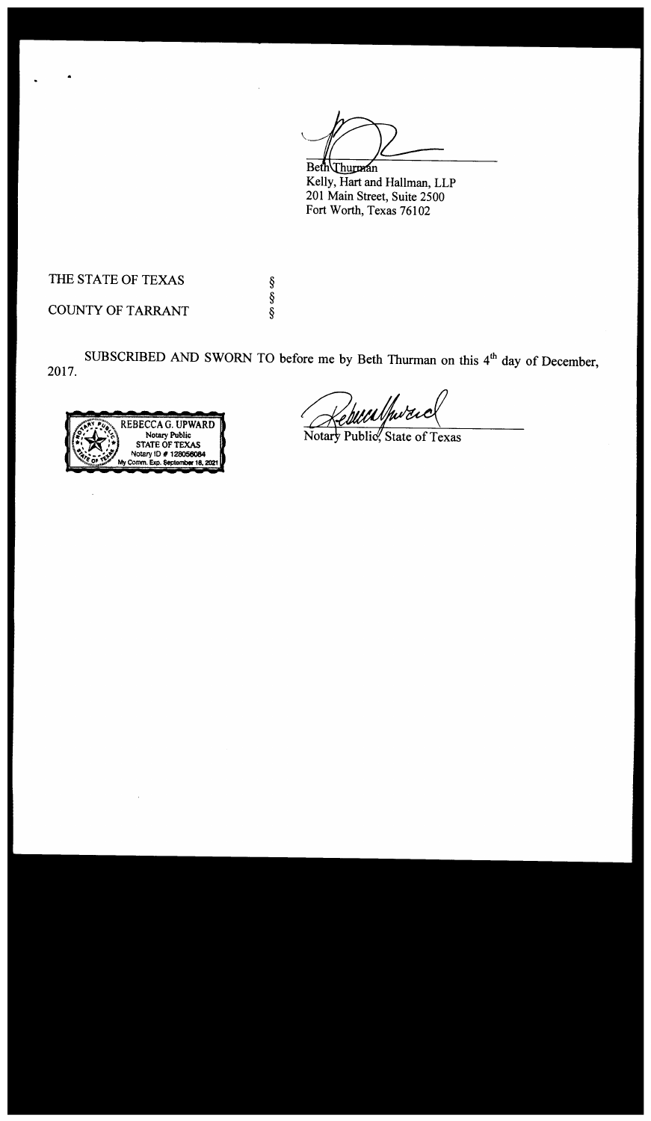Beth Thurman

Kelly, Hart and Hallman, LLP 201 Main Street, Suite 2500 Fort Worth, Texas 76102

THE STATE OF TEXAS

COUNTY OF TARRANT

2017. SUBSCRIBED AND SWORN TO before me by Beth Thurman on this  $4<sup>th</sup>$  day of December,

§ § §



huuthwan

Notary Public, State of Texas